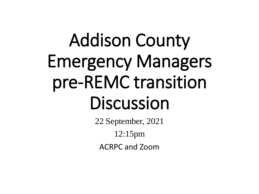# Addison County Emergency Managers pre-REMC transition Discussion

22 September, 2021 12:15pm ACRPC and Zoom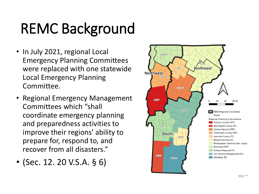## REMC Background

- In July 2021, regional Local Emergency Planning Committees were replaced with one statewide Local Emergency Planning Committee.
- Regional Emergency Management Committees which "shall coordinate emergency planning and preparedness activities to improve their regions' ability to prepare for, respond to, and recover from all disasters."
- (Sec. 12. 20 V.S.A. § 6)

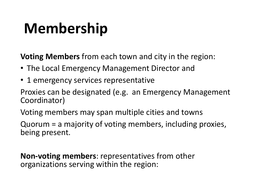### **Membership**

**Voting Members** from each town and city in the region:

- The Local Emergency Management Director and
- 1 emergency services representative

Proxies can be designated (e.g. an Emergency Management Coordinator)

Voting members may span multiple cities and towns

Quorum = a majority of voting members, including proxies, being present.

**Non-voting members**: representatives from other organizations serving within the region: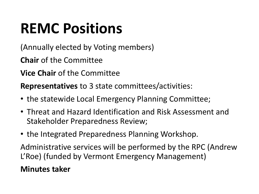## **REMC Positions**

(Annually elected by Voting members)

**Chair** of the Committee

**Vice Chair** of the Committee

**Representatives** to 3 state committees/activities:

- the statewide Local Emergency Planning Committee;
- Threat and Hazard Identification and Risk Assessment and Stakeholder Preparedness Review;
- the Integrated Preparedness Planning Workshop.

Administrative services will be performed by the RPC (Andrew L'Roe) (funded by Vermont Emergency Management)

### **Minutes taker**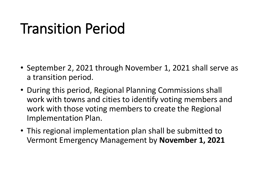### Transition Period

- September 2, 2021 through November 1, 2021 shall serve as a transition period.
- During this period, Regional Planning Commissions shall work with towns and cities to identify voting members and work with those voting members to create the Regional Implementation Plan.
- This regional implementation plan shall be submitted to Vermont Emergency Management by **November 1, 2021**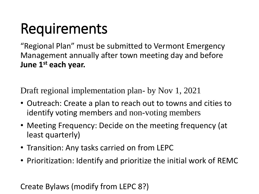### **Requirements**

"Regional Plan" must be submitted to Vermont Emergency Management annually after town meeting day and before **June 1st each year.** 

Draft regional implementation plan- by Nov 1, 2021

- Outreach: Create a plan to reach out to towns and cities to identify voting members and non-voting members
- Meeting Frequency: Decide on the meeting frequency (at least quarterly)
- Transition: Any tasks carried on from LEPC
- Prioritization: Identify and prioritize the initial work of REMC

Create Bylaws (modify from LEPC 8?)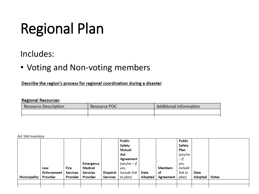## Regional Plan

### Includes:

• Voting and Non-voting members

Describe the region's process for regional coordination during a disaster:

#### **Regional Resources:**

| Resource Description | Resource POC | <b>Additional Information</b> |  |  |
|----------------------|--------------|-------------------------------|--|--|
|                      |              |                               |  |  |
|                      |              |                               |  |  |

Act 166 Inventory

|              |                    |                 |                  |                 | <b>Public</b>  |                |                  | <b>Public</b> |             |              |
|--------------|--------------------|-----------------|------------------|-----------------|----------------|----------------|------------------|---------------|-------------|--------------|
|              |                    |                 |                  |                 | <b>Safety</b>  |                |                  | <b>Safety</b> |             |              |
|              |                    |                 |                  |                 | Mutual         |                |                  | Plan          |             |              |
|              |                    |                 |                  |                 | Aid            |                |                  | (yes/no       |             |              |
|              |                    |                 |                  |                 | Agreement      |                |                  | — if          |             |              |
|              |                    |                 | <b>Emergency</b> |                 | $(yes/no - if$ |                |                  | yes,          |             |              |
|              | Law                | Fire            | Medical          |                 | yes,           |                | Members          | include       |             |              |
|              | <b>Enforcement</b> | <b>Services</b> | <b>Services</b>  | <b>Dispatch</b> | include link   | Date           | of               | link to       | <b>Date</b> |              |
| Municipality | Provider           | Provider        | Provider         | <b>Services</b> | to plan)       | <b>Adopted</b> | <b>Agreement</b> | plan)         | Adopted     | <b>Notes</b> |
|              |                    |                 |                  |                 |                |                |                  |               |             |              |
|              |                    |                 |                  |                 |                |                |                  |               |             |              |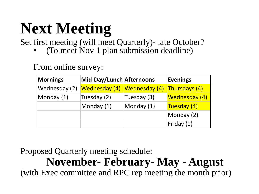# **Next Meeting**

Set first meeting (will meet Quarterly)- late October?

• (To meet Nov 1 plan submission deadline)

From online survey:

| <b>Mornings</b> | Mid-Day/Lunch Afternoons |               | <b>Evenings</b> |
|-----------------|--------------------------|---------------|-----------------|
| Wednesday (2)   | Wednesday (4)            | Wednesday (4) | Thursdays (4)   |
| Monday (1)      | Tuesday (2)              | Tuesday (3)   | Wednesday (4)   |
|                 | Monday (1)               | Monday (1)    | Tuesday (4)     |
|                 |                          |               | Monday (2)      |
|                 |                          |               | Friday (1)      |

Proposed Quarterly meeting schedule:

### **November- February- May - August**

(with Exec committee and RPC rep meeting the month prior)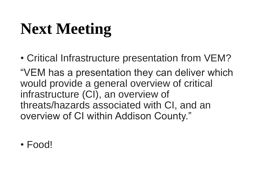## **Next Meeting**

• Critical Infrastructure presentation from VEM?

"VEM has a presentation they can deliver which would provide a general overview of critical infrastructure (CI), an overview of threats/hazards associated with CI, and an overview of CI within Addison County."

• Food!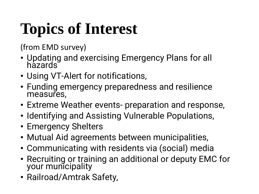# **Topics of Interest**

(from EMD survey)

- Updating and exercising Emergency Plans for all hazards<sup>®</sup>
- Using VT-Alert for notifications,
- Funding emergency preparedness and resilience measures,
- Extreme Weather events- preparation and response,
- Identifying and Assisting Vulnerable Populations,
- Emergency Shelters
- Mutual Aid agreements between municipalities,
- Communicating with residents via (social) media
- Recruiting or training an additional or deputy EMC for your municipality
- Railroad/Amtrak Safety,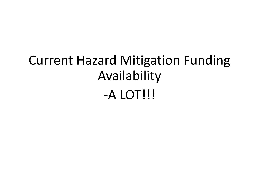### Current Hazard Mitigation Funding Availability -A LOT!!!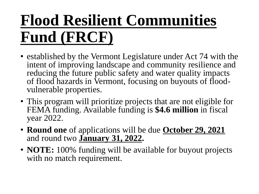## **Flood Resilient Communities Fund (FRCF)**

- established by the Vermont Legislature under Act 74 with the intent of improving landscape and community resilience and reducing the future public safety and water quality impacts of flood hazards in Vermont, focusing on buyouts of floodvulnerable properties.
- This program will prioritize projects that are not eligible for FEMA funding. Available funding is **\$4.6 million** in fiscal year 2022.
- **Round one** of applications will be due **October 29, 2021** and round two **January 31, 2022.**
- **NOTE:** 100% funding will be available for buyout projects with no match requirement.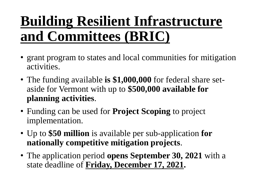### **Building Resilient Infrastructure and Committees (BRIC)**

- grant program to states and local communities for mitigation activities.
- The funding available **is \$1,000,000** for federal share setaside for Vermont with up to **\$500,000 available for planning activities**.
- Funding can be used for **Project Scoping** to project implementation.
- Up to **\$50 million** is available per sub-application **for nationally competitive mitigation projects**.
- The application period **opens September 30, 2021** with a state deadline of **Friday, December 17, 2021.**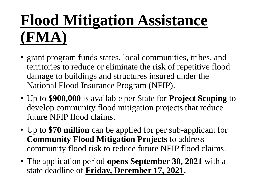## **Flood Mitigation Assistance (FMA)**

- grant program funds states, local communities, tribes, and territories to reduce or eliminate the risk of repetitive flood damage to buildings and structures insured under the National Flood Insurance Program (NFIP).
- Up to **\$900,000** is available per State for **Project Scoping** to develop community flood mitigation projects that reduce future NFIP flood claims.
- Up to **\$70 million** can be applied for per sub-applicant for **Community Flood Mitigation Projects** to address community flood risk to reduce future NFIP flood claims.
- The application period **opens September 30, 2021** with a state deadline of **Friday, December 17, 2021.**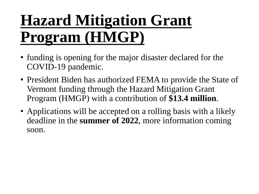## **Hazard Mitigation Grant Program (HMGP)**

- funding is opening for the major disaster declared for the COVID-19 pandemic.
- President Biden has authorized FEMA to provide the State of Vermont funding through the Hazard Mitigation Grant Program (HMGP) with a contribution of **\$13.4 million**.
- Applications will be accepted on a rolling basis with a likely deadline in the **summer of 2022**, more information coming soon.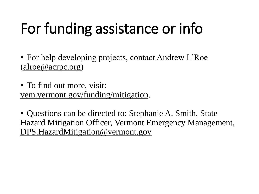## For funding assistance or info

• For help developing projects, contact Andrew L'Roe ([alroe@acrpc.org\)](mailto:alroe@acrpc.org)

• To find out more, visit: [vem.vermont.gov/funding/mitigation.](https://vem.vermont.gov/funding/mitigation)

• Questions can be directed to: Stephanie A. Smith, State Hazard Mitigation Officer, Vermont Emergency Management, [DPS.HazardMitigation@vermont.gov](mailto:DPS.HazardMitigation@vermont.gov)